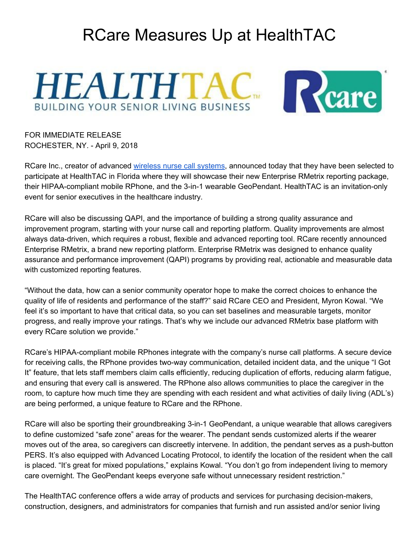## RCare Measures Up at HealthTAC





FOR IMMEDIATE RELEASE ROCHESTER, NY. - April 9, 2018

RCare Inc., creator of advanced wireless nurse call [systems](https://rcareinc.com/), announced today that they have been selected to participate at HealthTAC in Florida where they will showcase their new Enterprise RMetrix reporting package, their HIPAA-compliant mobile RPhone, and the 3-in-1 wearable GeoPendant. HealthTAC is an invitation-only event for senior executives in the healthcare industry.

RCare will also be discussing QAPI, and the importance of building a strong quality assurance and improvement program, starting with your nurse call and reporting platform. Quality improvements are almost always data-driven, which requires a robust, flexible and advanced reporting tool. RCare recently announced Enterprise RMetrix, a brand new reporting platform. Enterprise RMetrix was designed to enhance quality assurance and performance improvement (QAPI) programs by providing real, actionable and measurable data with customized reporting features.

"Without the data, how can a senior community operator hope to make the correct choices to enhance the quality of life of residents and performance of the staff?" said RCare CEO and President, Myron Kowal. "We feel it's so important to have that critical data, so you can set baselines and measurable targets, monitor progress, and really improve your ratings. That's why we include our advanced RMetrix base platform with every RCare solution we provide."

RCare's HIPAA-compliant mobile RPhones integrate with the company's nurse call platforms. A secure device for receiving calls, the RPhone provides two-way communication, detailed incident data, and the unique "I Got It" feature, that lets staff members claim calls efficiently, reducing duplication of efforts, reducing alarm fatigue, and ensuring that every call is answered. The RPhone also allows communities to place the caregiver in the room, to capture how much time they are spending with each resident and what activities of daily living (ADL's) are being performed, a unique feature to RCare and the RPhone.

RCare will also be sporting their groundbreaking 3-in-1 GeoPendant, a unique wearable that allows caregivers to define customized "safe zone" areas for the wearer. The pendant sends customized alerts if the wearer moves out of the area, so caregivers can discreetly intervene. In addition, the pendant serves as a push-button PERS. It's also equipped with Advanced Locating Protocol, to identify the location of the resident when the call is placed. "It's great for mixed populations," explains Kowal. "You don't go from independent living to memory care overnight. The GeoPendant keeps everyone safe without unnecessary resident restriction."

The HealthTAC conference offers a wide array of products and services for purchasing decision-makers, construction, designers, and administrators for companies that furnish and run assisted and/or senior living